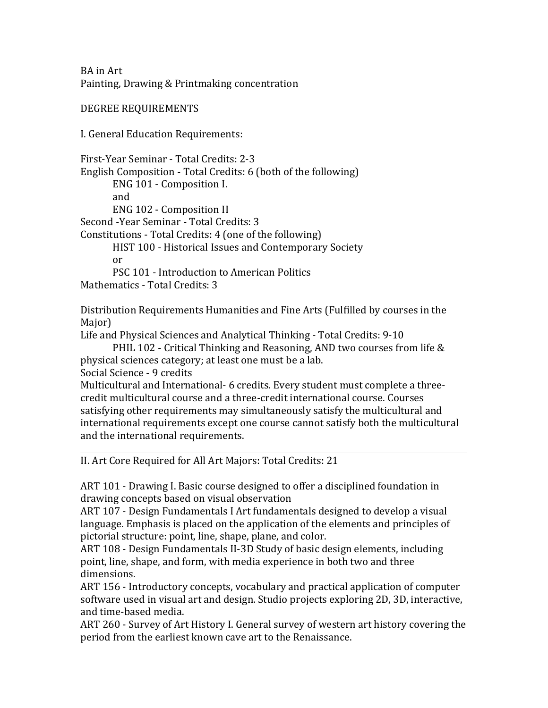BA in Art Painting, Drawing & Printmaking concentration

DEGREE REQUIREMENTS

I. General Education Requirements:

First-Year Seminar - Total Credits: 2-3 English Composition - Total Credits: 6 (both of the following) ENG 101 - Composition I. and ENG 102 - Composition II Second -Year Seminar - Total Credits: 3 Constitutions - Total Credits: 4 (one of the following) HIST 100 - Historical Issues and Contemporary Society or PSC 101 - Introduction to American Politics

Mathematics - Total Credits: 3

Distribution Requirements Humanities and Fine Arts (Fulfilled by courses in the Major)

Life and Physical Sciences and Analytical Thinking - Total Credits: 9-10

PHIL 102 - Critical Thinking and Reasoning, AND two courses from life  $&$ physical sciences category; at least one must be a lab.

Social Science - 9 credits

Multicultural and International- 6 credits. Every student must complete a threecredit multicultural course and a three-credit international course. Courses satisfying other requirements may simultaneously satisfy the multicultural and international requirements except one course cannot satisfy both the multicultural and the international requirements.

II. Art Core Required for All Art Majors: Total Credits: 21

ART 101 - Drawing I. Basic course designed to offer a disciplined foundation in drawing concepts based on visual observation

ART 107 - Design Fundamentals I Art fundamentals designed to develop a visual language. Emphasis is placed on the application of the elements and principles of pictorial structure: point, line, shape, plane, and color.

ART 108 - Design Fundamentals II-3D Study of basic design elements, including point, line, shape, and form, with media experience in both two and three dimensions. 

ART 156 - Introductory concepts, vocabulary and practical application of computer software used in visual art and design. Studio projects exploring 2D, 3D, interactive, and time-based media.

ART 260 - Survey of Art History I. General survey of western art history covering the period from the earliest known cave art to the Renaissance.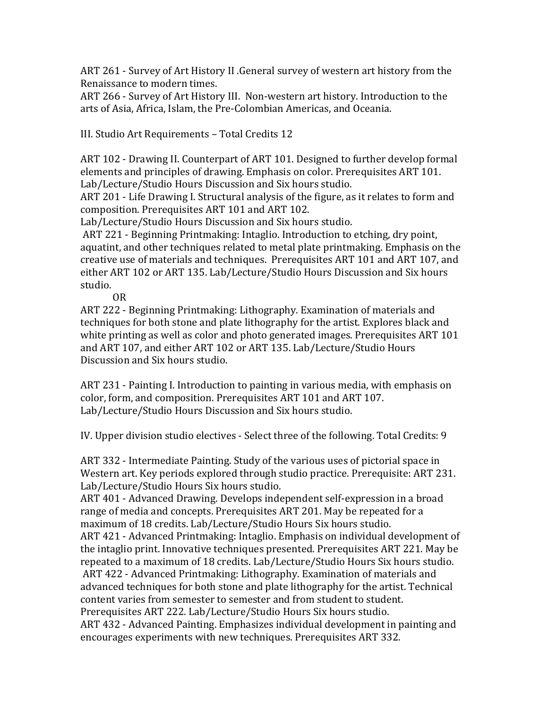ART 261 - Survey of Art History II .General survey of western art history from the Renaissance to modern times.

ART 266 - Survey of Art History III. Non-western art history. Introduction to the arts of Asia, Africa, Islam, the Pre-Colombian Americas, and Oceania.

III. Studio Art Requirements - Total Credits 12

ART 102 - Drawing II. Counterpart of ART 101. Designed to further develop formal elements and principles of drawing. Emphasis on color. Prerequisites ART 101. Lab/Lecture/Studio Hours Discussion and Six hours studio.

ART 201 - Life Drawing I. Structural analysis of the figure, as it relates to form and composition. Prerequisites ART 101 and ART 102.

Lab/Lecture/Studio Hours Discussion and Six hours studio.

ART 221 - Beginning Printmaking: Intaglio. Introduction to etching, dry point, aquatint, and other techniques related to metal plate printmaking. Emphasis on the creative use of materials and techniques. Prerequisites ART 101 and ART 107, and either ART 102 or ART 135. Lab/Lecture/Studio Hours Discussion and Six hours studio.

OR

ART 222 - Beginning Printmaking: Lithography. Examination of materials and techniques for both stone and plate lithography for the artist. Explores black and white printing as well as color and photo generated images. Prerequisites ART 101 and ART 107, and either ART 102 or ART 135. Lab/Lecture/Studio Hours Discussion and Six hours studio.

ART 231 - Painting I. Introduction to painting in various media, with emphasis on color, form, and composition. Prerequisites ART 101 and ART 107. Lab/Lecture/Studio Hours Discussion and Six hours studio.

IV. Upper division studio electives - Select three of the following. Total Credits: 9

ART 332 - Intermediate Painting. Study of the various uses of pictorial space in Western art. Key periods explored through studio practice. Prerequisite: ART 231. Lab/Lecture/Studio Hours Six hours studio.

ART 401 - Advanced Drawing. Develops independent self-expression in a broad range of media and concepts. Prerequisites ART 201. May be repeated for a maximum of 18 credits. Lab/Lecture/Studio Hours Six hours studio.

ART 421 - Advanced Printmaking: Intaglio. Emphasis on individual development of the intaglio print. Innovative techniques presented. Prerequisites ART 221. May be repeated to a maximum of 18 credits. Lab/Lecture/Studio Hours Six hours studio. ART 422 - Advanced Printmaking: Lithography. Examination of materials and advanced techniques for both stone and plate lithography for the artist. Technical content varies from semester to semester and from student to student. Prerequisites ART 222. Lab/Lecture/Studio Hours Six hours studio. ART 432 - Advanced Painting. Emphasizes individual development in painting and

encourages experiments with new techniques. Prerequisites ART 332.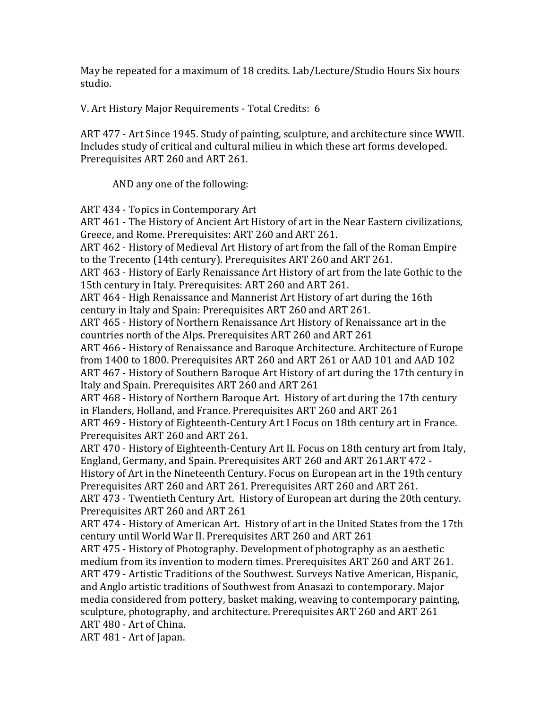May be repeated for a maximum of 18 credits. Lab/Lecture/Studio Hours Six hours studio.

V. Art History Major Requirements - Total Credits: 6

ART 477 - Art Since 1945. Study of painting, sculpture, and architecture since WWII. Includes study of critical and cultural milieu in which these art forms developed. Prerequisites ART 260 and ART 261.

AND any one of the following:

ART 434 - Topics in Contemporary Art

ART 461 - The History of Ancient Art History of art in the Near Eastern civilizations, Greece, and Rome. Prerequisites: ART 260 and ART 261.

ART 462 - History of Medieval Art History of art from the fall of the Roman Empire to the Trecento (14th century). Prerequisites ART 260 and ART 261.

ART 463 - History of Early Renaissance Art History of art from the late Gothic to the 15th century in Italy. Prerequisites: ART 260 and ART 261.

ART 464 - High Renaissance and Mannerist Art History of art during the 16th century in Italy and Spain: Prerequisites ART 260 and ART 261.

ART 465 - History of Northern Renaissance Art History of Renaissance art in the countries north of the Alps. Prerequisites ART 260 and ART 261

ART 466 - History of Renaissance and Baroque Architecture. Architecture of Europe from 1400 to 1800. Prerequisites ART 260 and ART 261 or AAD 101 and AAD 102 ART 467 - History of Southern Baroque Art History of art during the 17th century in Italy and Spain. Prerequisites ART 260 and ART 261

ART 468 - History of Northern Baroque Art. History of art during the 17th century in Flanders, Holland, and France. Prerequisites ART 260 and ART 261

ART 469 - History of Eighteenth-Century Art I Focus on 18th century art in France. Prerequisites ART 260 and ART 261.

ART 470 - History of Eighteenth-Century Art II. Focus on 18th century art from Italy, England, Germany, and Spain. Prerequisites ART 260 and ART 261.ART 472 -

History of Art in the Nineteenth Century. Focus on European art in the 19th century Prerequisites ART 260 and ART 261. Prerequisites ART 260 and ART 261.

ART 473 - Twentieth Century Art. History of European art during the 20th century. Prerequisites ART 260 and ART 261

ART 474 - History of American Art. History of art in the United States from the 17th century until World War II. Prerequisites ART 260 and ART 261

ART 475 - History of Photography. Development of photography as an aesthetic medium from its invention to modern times. Prerequisites ART 260 and ART 261. ART 479 - Artistic Traditions of the Southwest. Surveys Native American, Hispanic, and Anglo artistic traditions of Southwest from Anasazi to contemporary. Major media considered from pottery, basket making, weaving to contemporary painting, sculpture, photography, and architecture. Prerequisites ART 260 and ART 261 ART 480 - Art of China.

ART 481 - Art of Japan.